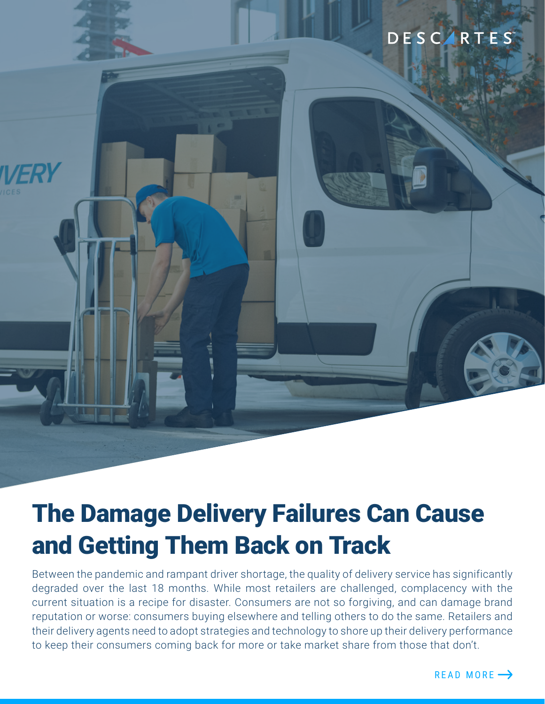# DESCARTES



Between the pandemic and rampant driver shortage, the quality of delivery service has significantly degraded over the last 18 months. While most retailers are challenged, complacency with the current situation is a recipe for disaster. Consumers are not so forgiving, and can damage brand reputation or worse: consumers buying elsewhere and telling others to do the same. Retailers and their delivery agents need to adopt strategies and technology to shore up their delivery performance to keep their consumers coming back for more or take market share from those that don't.

READ MORE  $\rightarrow$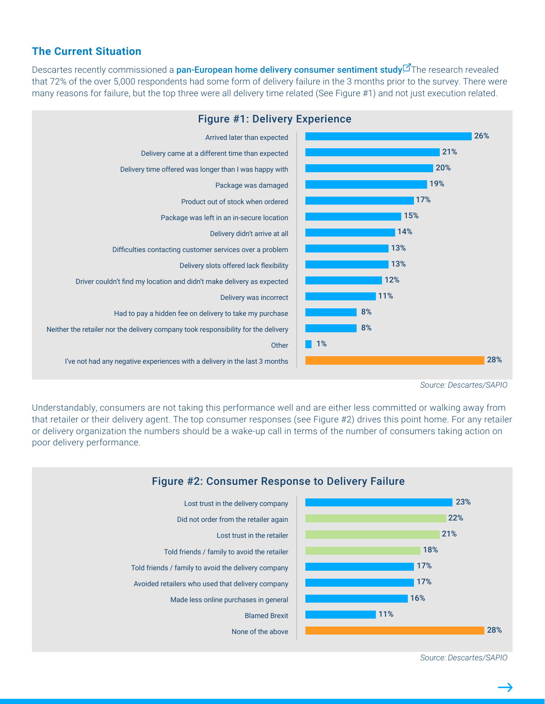## **The Current Situation**

Descartes recently commissioned a [pan-European home delivery consumer sentiment study](https://routinguk.descartes.com/eu-home-delivery-research-wp).<sup>7</sup>The research revealed that 72% of the over 5,000 respondents had some form of delivery failure in the 3 months prior to the survey. There were many reasons for failure, but the top three were all delivery time related (See Figure #1) and not just execution related.



*Source: Descartes/SAPIO*

Understandably, consumers are not taking this performance well and are either less committed or walking away from that retailer or their delivery agent. The top consumer responses (see Figure #2) drives this point home. For any retailer or delivery organization the numbers should be a wake-up call in terms of the number of consumers taking action on poor delivery performance.



*Source: Descartes/SAPIO*